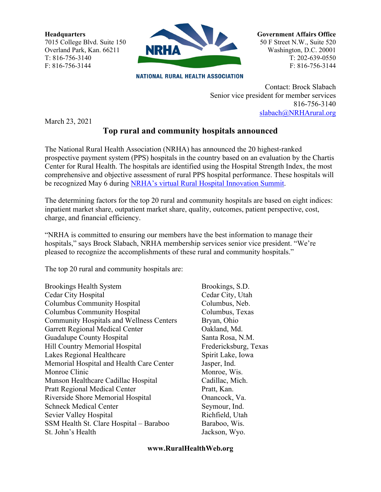**Headquarters** 7015 College Blvd. Suite 150 Overland Park, Kan. 66211 T: 816-756-3140 F: 816-756-3144



**NATIONAL RURAL HEALTH ASSOCIATION** 

**Government Affairs Office** 50 F Street N.W., Suite 520 Washington, D.C. 20001 T: 202-639-0550 F: 816-756-3144

Contact: Brock Slabach Senior vice president for member services 816-756-3140 [slabach@NRHArural.org](mailto:slabach@NRHArural.org)

March 23, 2021

## **Top rural and community hospitals announced**

The National Rural Health Association (NRHA) has announced the 20 highest-ranked prospective payment system (PPS) hospitals in the country based on an evaluation by the Chartis Center for Rural Health. The hospitals are identified using the Hospital Strength Index, the most comprehensive and objective assessment of rural PPS hospital performance. These hospitals will be recognized May 6 during [NRHA's virtual Rural Hospital Innovation Summit.](https://www.ruralhealthweb.org/summit)

The determining factors for the top 20 rural and community hospitals are based on eight indices: inpatient market share, outpatient market share, quality, outcomes, patient perspective, cost, charge, and financial efficiency.

"NRHA is committed to ensuring our members have the best information to manage their hospitals," says Brock Slabach, NRHA membership services senior vice president. "We're pleased to recognize the accomplishments of these rural and community hospitals."

The top 20 rural and community hospitals are:

Brookings Health System Brookings, S.D. Cedar City Hospital Cedar City, Utah Columbus Community Hospital Columbus, Neb. Columbus Community Hospital Columbus, Texas Community Hospitals and Wellness Centers Bryan, Ohio Garrett Regional Medical Center **Canadian** Oakland, Md. Guadalupe County Hospital Santa Rosa, N.M. Hill Country Memorial Hospital **Fredericksburg**, Texas Lakes Regional Healthcare Spirit Lake, Iowa Memorial Hospital and Health Care Center Jasper, Ind. Monroe Clinic Monroe, Wis. Munson Healthcare Cadillac Hospital Cadillac, Mich. Pratt Regional Medical Center Pratt, Kan. Riverside Shore Memorial Hospital Onancock, Va. Schneck Medical Center Seymour, Ind. Sevier Valley Hospital Richfield, Utah SSM Health St. Clare Hospital – Baraboo Baraboo, Wis. St. John's Health Jackson, Wyo.

## **www.RuralHealthWeb.org**